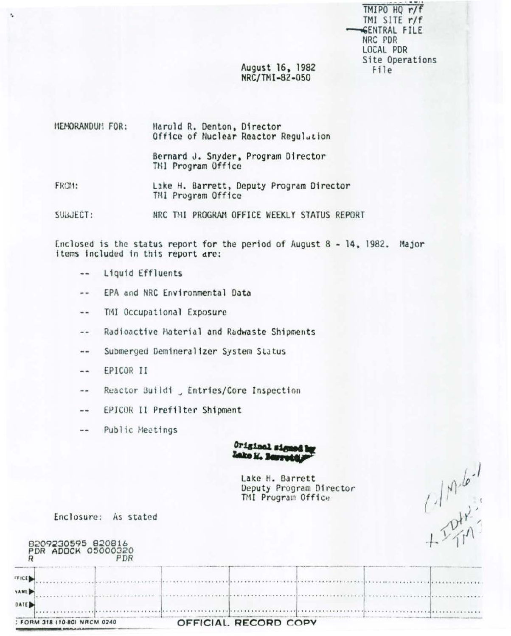TMIPO HQ r/f TMI SITE r/f **SENTRAL FILE** NRC PDR LOCAL PDR Site Operations File

# August 16, 1982 NRC/TMI-82-050

| MEMORANDUM FOR: | Harold R. Denton, Director<br>Office of Nuclear Reactor Regulation |
|-----------------|--------------------------------------------------------------------|
|                 | Bernard J. Snyder, Program Director<br>TMI Program Office          |
| FROM:           | Lake H. Barrett, Deputy Program Director<br>TMI Program Office     |

SUBJECT: NRC THI PROGRAM OFFICE WEEKLY STATUS REPORT

Enclosed is the status report for the period of August 8 - 14, 1982. Major items included in this report are:

-- Liquid Effluents

ı,

- EPA and NRC Environmental Data  $\sim$   $\sim$
- TMI Occupational Exposure  $\cdots$
- Radioactive Haterial and Radwaste Shipments  $\frac{1}{2}$
- Submerged Demineralizer System Status  $\frac{1}{2}$
- EPICOR II  $\sim$
- Reactor Buildi, Entries/Core Inspection  $\sim$   $-$
- EPICOR II Prefilter Shipment  $- -$
- Public Meetings  $\frac{1}{2}$



|                                                                           | <b>ASSAUD No BEFFRAM</b>                                         |  |
|---------------------------------------------------------------------------|------------------------------------------------------------------|--|
|                                                                           | Lake H. Barrett<br>Deputy Program Director<br>TMI Program Office |  |
| Enclosure:<br>As stated<br>8209230595 820816<br>PDR ADOCK 05000320<br>PDR |                                                                  |  |
| FFICE<br><b>VAME</b>                                                      |                                                                  |  |
| DATE<br>: FORM 318 (10-80) NRCM 0240                                      | OFFICIAL RECORD COPY                                             |  |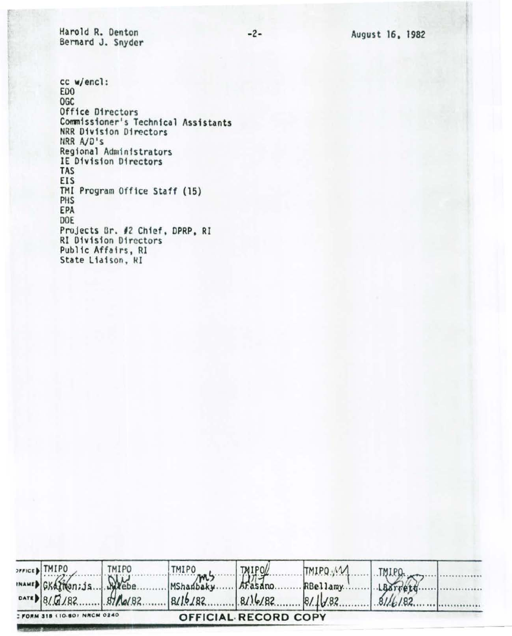Harold R. Denton Bernard J. Snyder

cc w/encl: ED<sub>0</sub> **OGC** Office Directors Commissioner's Technical Assistants NRR Division Directors NRR A/D's Regional Administrators IE Division Directors TAS EIS TMI Program Office Staff (15) PHS EPA DOE Projects Br. #2 Chief, DPRP, RI **RI Division Directors** Public Affairs, RI State Liaison, RI

|                                                             | SFFICE B TMIPO              | TMIPO | TMIPO                     | <b>TAIPOL</b> | TMIPO M  | IMIPQ   |  |
|-------------------------------------------------------------|-----------------------------|-------|---------------------------|---------------|----------|---------|--|
|                                                             | MAMED GKATHan; js.  . Webe. |       | MShanbaky.                | Arasano.      | RBellamy |         |  |
|                                                             |                             |       | $8/16/82$ 8/16/82 8/16/82 |               |          | 81/6/82 |  |
| <b>I FORM 318 (10-80) NRCM 0240</b><br>OFFICIAL RECORD COPY |                             |       |                           |               |          |         |  |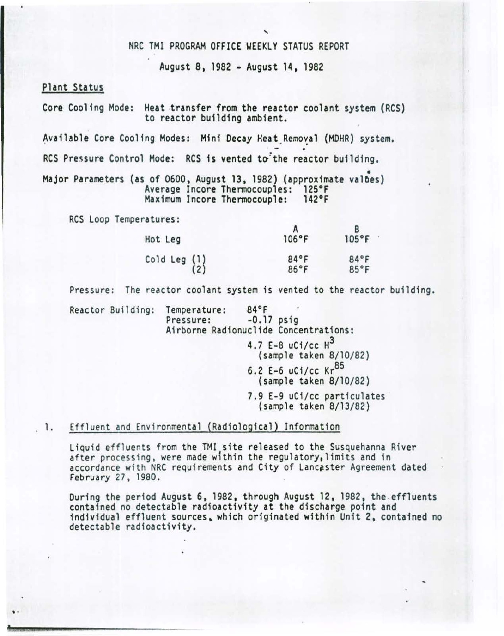# NRC TMl PROGRAM OFFICE WEEKLY STATUS REPORT

August 8, 1982 • August 14, 1982

## Plant Status

.

Core Cooling Mode: Heat transfer from the reactor coolant system (RCS) to reactor building ambient.

Available Core Cooling Modes: Mini Decay Heat Removal (MDHR) system.

RCS Pressure Control Mode: RCS is vented to the reactor building,

Major Parameters (as of 0600, August 13, 1982) (approximate values)<br>Average Incore Thermocouples: 125°F<br>Maximum Incore Thermocouple: 142°F Maximum Incore Thermocouple:

RCS Loop Temperatures:

| Hot Leg                           | 106°F        | $105^{\circ}F$ |
|-----------------------------------|--------------|----------------|
| $\begin{pmatrix} 1 \end{pmatrix}$ | 84°F<br>86°F | 84°F<br>85°F   |

Pressure: The reactor coolant system is vented to the reactor building.

Reactor Building: Temperature: 84°F<br>Pressure: -0.17 psig Airborne Radionuclide Concentrations: 4.7 E-8  $u$ Ci/cc  $H^3$ (samp le taken 8/10/82) 6.2 E-6 uCi/cc  $Kr^{85}$ (sample taken 8/ 10/82) 7.9 E-9 uCi/cc particulates (sample taken 8/ 13/82)

1. Effluent and Environmental (Radiological) Information

Liquid effluents from the TMI site released to the Susquehanna River after processing, were made within the regulatory, limits and in accordance with NRC requirements and City of Lancaster Agreement dated Feb ruary 27, 1980.

During the period August 6, 1982, through August 12, 1982, the effluents contained no detectable radioactivity at the discharge point and individual effluent sources, which originated within Unit 2, contained no detectable radioactivity.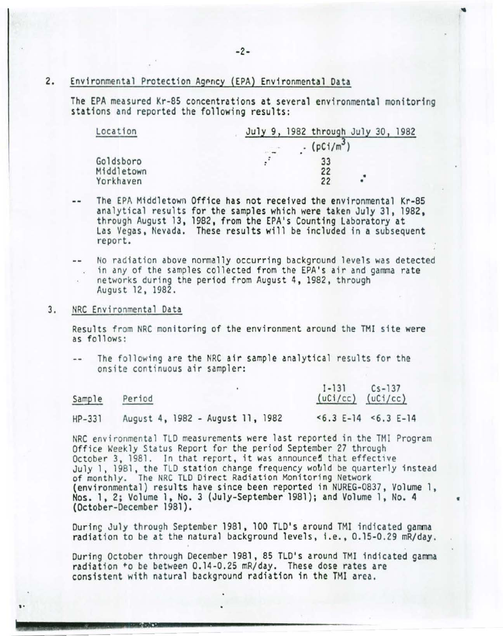# 2. Environmental Protection Agency (EPA) Environmental Data

The EPA measured Kr-85 concentrations at several environmental monitoring stations and reported the following results:

| Location   | July 9, 1982 through July 30, 1982 |
|------------|------------------------------------|
|            | $(pCi/m^3)$                        |
| Goldsboro  | 33                                 |
| Middletown | 22                                 |
| Yorkhaven  | ٠<br>22                            |

The EPA Middletown Office has not received the environmental Kr-85 analytical results for the samples which were taken July 31, 1982, through August 13, 1982, from the EPA's Counting Laboratory at Las Vegas, Nevada. These results will be included in a subsequent report.

No radiation above normally occurring background levels was detected in any of the samples collected from the EPA's air and gamma rate networks during the period from August 4, 1982, through<br>August 12, 1982.

#### 3. NRC Environmental Data

'.

Results from NRC monitoring of the environment around the TMI site were as fo11 ows:

The following are the NRC air sample analytical results for the onsite continuous air sampler:

|          |                                  | $1 - 131$<br>$Cs - 137$ |
|----------|----------------------------------|-------------------------|
| Sample   | Period                           | $(uCi/cc)$ $(uCi/cc)$   |
| $HP-331$ | August 4, 1982 - August 11, 1982 | $5.3 E-14$ $5.3 E-14$   |

NRC environmental TLD measurements were last reported in the TMI Program Office Weekly Status Report for the period September 27 through October 3, 1981. In that report, it was announced that effective July 1, 1981, the TLD station change frequency would be quarterly instead of monthly. The NRC TLD Direct Radiation Monitoring Network (environmental) results have since been reported in NUREG-0837, Volume 1, Nos. 1. 2; Volume 1, No. 3 (July-September 1981); and Volume 1. No. 4 • (October-December 1981).

Ourins July through September 1981 , 100 TLO's around TMI indicated gamma radiation to be at the natural background levels, i.e., 0.15-0.29 mR/day.

During October through December 1981, 85 TLD's around TMI indicated gamma radiation +o be between 0.14-0.25 mR/day. These dose rates are consistent with natural background radiation in the TMI area.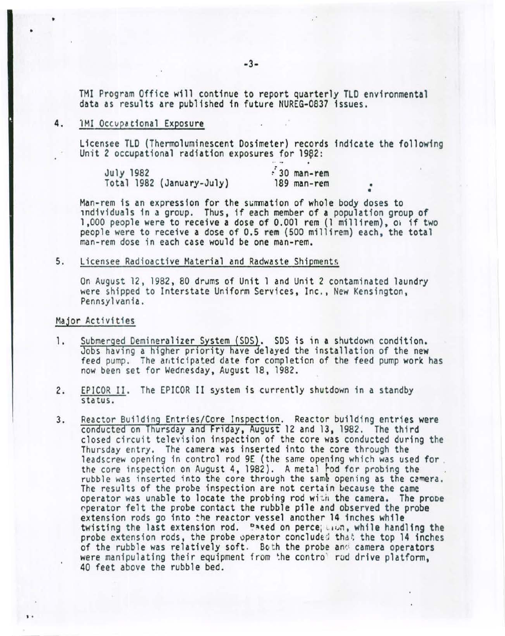TMI Program Office will continue to report quarterly TLO environmental data as results are published in future NUREG-0837 issues.

## 4. 1MI Occvpational Exposure

•

•

' .

Licensee TLD (Thermoluminescent Dosimeter) records indicate the following<br>Unit 2 occupational radiation exposures for 1982:

| July 1982 |                           | $\approx 30$ man-rem |  |
|-----------|---------------------------|----------------------|--|
|           | Total 1982 (January-July) | 189 man-rem          |  |
|           |                           |                      |  |

Man-rem is an expression for the summation of whole body doses to individuals in a group. Thus, if each member of a population group of 1,000 people were to receive a dose of 0.001 rem (l mi111rem), Oi if two people were to receive a dose of 0.5 rem (500 millirem) each, the total man-rem dose in each case would be one man-rem.

5. Licensee Radioactive Material and Radwaste Shipments

On August 12, 1982, 80 drums of Unit 1 and Unit 2 contaminated laundry were shipped to Interstate Uniform Services, Inc., New Kensington, Pennsylvania.

#### Major Activities

- 1. Submerged Demineralizer System (SDS). SDS is in a shutdown condition. Jobs having a higher priority have delayed the installation of the new feed pump. The anticipated date for completion of the feed pump work has now been set for Wednesday, August 18, 1982.
- 2. EPICOR II. The EPICOR II system is currently shutdown in a standby status.
- 3. Reactor Building Entries/Core Inspection. Reactor building entries were conducted on Thursday and Friday, August 12 and 13, 1982. The third closed circuit television inspection of the core was conducted during the Thursday entry. The camera was inserted into the core through the leadscrew opening in control rod 9E (the same opening which was used for the core inspection on August 4, 1982). A metal rod for probing the rubble was inserted into the core through the same opening as the camera. The results of the probe inspection are not certain because the came<br>operator was unable to locate the probing rod with the camera. The probe operator felt the probe contact the rubble pile and observed the probe extension rods go into the reactor vessel another 14 inches while twisting the last extension rod. Pased on perce; www., while handling the probe extension rods, the probe operator concluded that the top 14 inches of the rubble was relatively soft. Both the probe and camera operators were manipulating their equipment from the control rod drive platform, 40 feet above the rubble bed.